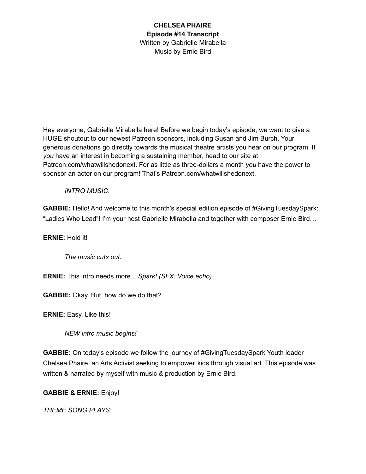Hey everyone, Gabrielle Mirabella here! Before we begin today's episode, we want to give a HUGE shoutout to our newest Patreon sponsors, including Susan and Jim Burch. Your generous donations go directly towards the musical theatre artists you hear on our program. If *you* have an interest in becoming a sustaining member, head to our site at Patreon.com/whatwillshedonext. For as little as three-dollars a month *you* have the power to sponsor an actor on our program! That's Patreon.com/whatwillshedonext.

*INTRO MUSIC.*

**GABBIE:** Hello! And welcome to this month's special edition episode of #GivingTuesdaySpark: "Ladies Who Lead"! I'm your host Gabrielle Mirabella and together with composer Ernie Bird…

**ERNIE:** Hold it!

*The music cuts out.*

**ERNIE:** This intro needs more... *Spark! (SFX: Voice echo)*

**GABBIE:** Okay. But, how do we do that?

**ERNIE:** Easy. Like this!

*NEW intro music begins!*

**GABBIE:** On today's episode we follow the journey of #GivingTuesdaySpark Youth leader Chelsea Phaire, an Arts Activist seeking to empower kids through visual art. This episode was written & narrated by myself with music & production by Ernie Bird.

**GABBIE & ERNIE:** Enjoy!

*THEME SONG PLAYS:*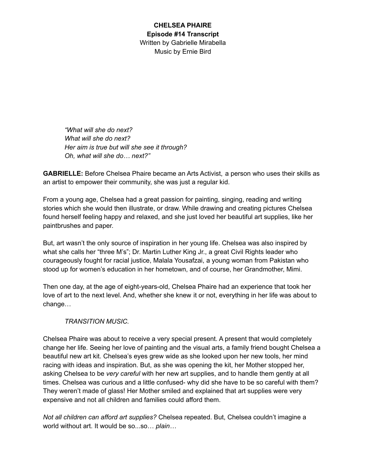*"What will she do next? What will she do next? Her aim is true but will she see it through? Oh, what will she do… next?"*

**GABRIELLE:** Before Chelsea Phaire became an Arts Activist, a person who uses their skills as an artist to empower their community, she was just a regular kid.

From a young age, Chelsea had a great passion for painting, singing, reading and writing stories which she would then illustrate, or draw. While drawing and creating pictures Chelsea found herself feeling happy and relaxed, and she just loved her beautiful art supplies, like her paintbrushes and paper.

But, art wasn't the only source of inspiration in her young life. Chelsea was also inspired by what she calls her "three M's"; Dr. Martin Luther King Jr., a great Civil Rights leader who courageously fought for racial justice, Malala Yousafzai, a young woman from Pakistan who stood up for women's education in her hometown, and of course, her Grandmother, Mimi.

Then one day, at the age of eight-years-old, Chelsea Phaire had an experience that took her love of art to the next level. And, whether she knew it or not, everything in her life was about to change…

### *TRANSITION MUSIC.*

Chelsea Phaire was about to receive a very special present. A present that would completely change her life. Seeing her love of painting and the visual arts, a family friend bought Chelsea a beautiful new art kit. Chelsea's eyes grew wide as she looked upon her new tools, her mind racing with ideas and inspiration. But, as she was opening the kit, her Mother stopped her, asking Chelsea to be *very careful* with her new art supplies, and to handle them gently at all times. Chelsea was curious and a little confused- why did she have to be so careful with them? They weren't made of glass! Her Mother smiled and explained that art supplies were very expensive and not all children and families could afford them.

*Not all children can afford art supplies?* Chelsea repeated. But, Chelsea couldn't imagine a world without art. It would be so...so… *plain…*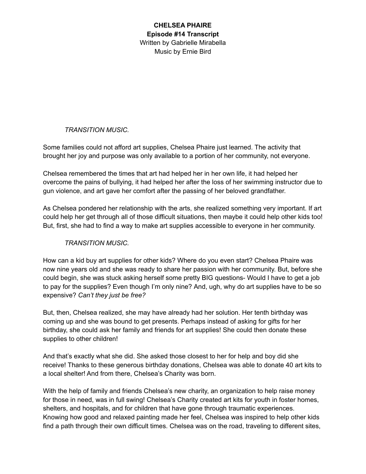# *TRANSITION MUSIC.*

Some families could not afford art supplies, Chelsea Phaire just learned. The activity that brought her joy and purpose was only available to a portion of her community, not everyone.

Chelsea remembered the times that art had helped her in her own life, it had helped her overcome the pains of bullying, it had helped her after the loss of her swimming instructor due to gun violence, and art gave her comfort after the passing of her beloved grandfather.

As Chelsea pondered her relationship with the arts, she realized something very important. If art could help her get through all of those difficult situations, then maybe it could help other kids too! But, first, she had to find a way to make art supplies accessible to everyone in her community.

### *TRANSITION MUSIC.*

How can a kid buy art supplies for other kids? Where do you even start? Chelsea Phaire was now nine years old and she was ready to share her passion with her community. But, before she could begin, she was stuck asking herself some pretty BIG questions- Would I have to get a job to pay for the supplies? Even though I'm only nine? And, ugh, why do art supplies have to be so expensive? *Can't they just be free?*

But, then, Chelsea realized, she may have already had her solution. Her tenth birthday was coming up and she was bound to get presents. Perhaps instead of asking for gifts for her birthday, she could ask her family and friends for art supplies! She could then donate these supplies to other children!

And that's exactly what she did. She asked those closest to her for help and boy did she receive! Thanks to these generous birthday donations, Chelsea was able to donate 40 art kits to a local shelter! And from there, Chelsea's Charity was born.

With the help of family and friends Chelsea's new charity, an organization to help raise money for those in need, was in full swing! Chelsea's Charity created art kits for youth in foster homes, shelters, and hospitals, and for children that have gone through traumatic experiences. Knowing how good and relaxed painting made her feel, Chelsea was inspired to help other kids find a path through their own difficult times. Chelsea was on the road, traveling to different sites,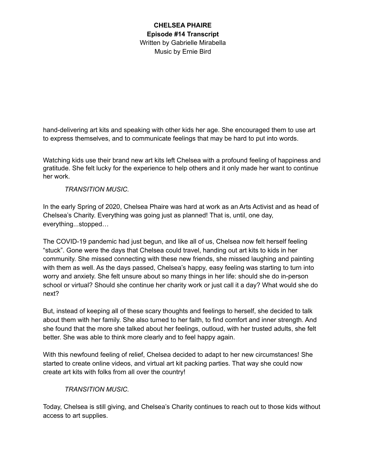hand-delivering art kits and speaking with other kids her age. She encouraged them to use art to express themselves, and to communicate feelings that may be hard to put into words.

Watching kids use their brand new art kits left Chelsea with a profound feeling of happiness and gratitude. She felt lucky for the experience to help others and it only made her want to continue her work.

### *TRANSITION MUSIC.*

In the early Spring of 2020, Chelsea Phaire was hard at work as an Arts Activist and as head of Chelsea's Charity. Everything was going just as planned! That is, until, one day, everything...stopped…

The COVID-19 pandemic had just begun, and like all of us, Chelsea now felt herself feeling "stuck". Gone were the days that Chelsea could travel, handing out art kits to kids in her community. She missed connecting with these new friends, she missed laughing and painting with them as well. As the days passed, Chelsea's happy, easy feeling was starting to turn into worry and anxiety. She felt unsure about so many things in her life: should she do in-person school or virtual? Should she continue her charity work or just call it a day? What would she do next?

But, instead of keeping all of these scary thoughts and feelings to herself, she decided to talk about them with her family. She also turned to her faith, to find comfort and inner strength. And she found that the more she talked about her feelings, outloud, with her trusted adults, she felt better. She was able to think more clearly and to feel happy again.

With this newfound feeling of relief, Chelsea decided to adapt to her new circumstances! She started to create online videos, and virtual art kit packing parties. That way she could now create art kits with folks from all over the country!

### *TRANSITION MUSIC.*

Today, Chelsea is still giving, and Chelsea's Charity continues to reach out to those kids without access to art supplies.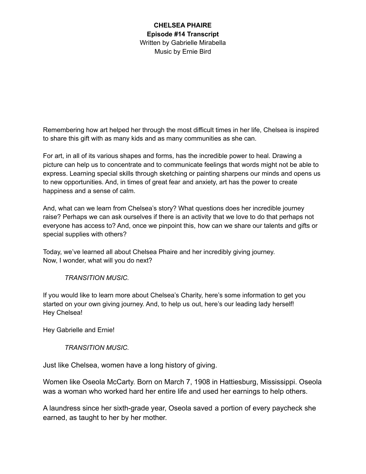Remembering how art helped her through the most difficult times in her life, Chelsea is inspired to share this gift with as many kids and as many communities as she can.

For art, in all of its various shapes and forms, has the incredible power to heal. Drawing a picture can help us to concentrate and to communicate feelings that words might not be able to express. Learning special skills through sketching or painting sharpens our minds and opens us to new opportunities. And, in times of great fear and anxiety, art has the power to create happiness and a sense of calm.

And, what can we learn from Chelsea's story? What questions does her incredible journey raise? Perhaps we can ask ourselves if there is an activity that we love to do that perhaps not everyone has access to? And, once we pinpoint this, how can we share our talents and gifts or special supplies with others?

Today, we've learned all about Chelsea Phaire and her incredibly giving journey. Now, I wonder, what will you do next?

### *TRANSITION MUSIC.*

If you would like to learn more about Chelsea's Charity, here's some information to get you started on your own giving journey. And, to help us out, here's our leading lady herself! Hey Chelsea!

Hey Gabrielle and Ernie!

### *TRANSITION MUSIC.*

Just like Chelsea, women have a long history of giving.

Women like Oseola McCarty. Born on March 7, 1908 in Hattiesburg, Mississippi. Oseola was a woman who worked hard her entire life and used her earnings to help others.

A laundress since her sixth-grade year, Oseola saved a portion of every paycheck she earned, as taught to her by her mother.